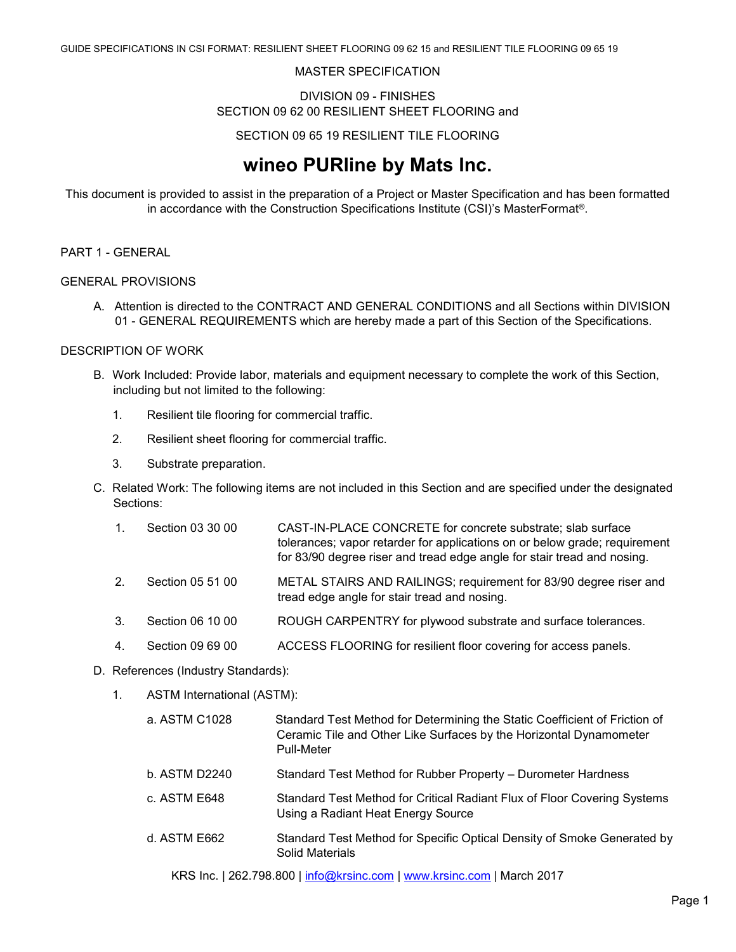#### MASTER SPECIFICATION

#### DIVISION 09 - FINISHES SECTION 09 62 00 RESILIENT SHEET FLOORING and

#### SECTION 09 65 19 RESILIENT TILE FLOORING

# **wineo PURline by Mats Inc.**

This document is provided to assist in the preparation of a Project or Master Specification and has been formatted in accordance with the Construction Specifications Institute (CSI)'s MasterFormat®.

### PART 1 - GENERAL

#### GENERAL PROVISIONS

A. Attention is directed to the CONTRACT AND GENERAL CONDITIONS and all Sections within DIVISION 01 - GENERAL REQUIREMENTS which are hereby made a part of this Section of the Specifications.

#### DESCRIPTION OF WORK

- B. Work Included: Provide labor, materials and equipment necessary to complete the work of this Section, including but not limited to the following:
	- 1. Resilient tile flooring for commercial traffic.
	- 2. Resilient sheet flooring for commercial traffic.
	- 3. Substrate preparation.
- C. Related Work: The following items are not included in this Section and are specified under the designated Sections:
	- 1. Section 03 30 00 CAST-IN-PLACE CONCRETE for concrete substrate; slab surface tolerances; vapor retarder for applications on or below grade; requirement for 83/90 degree riser and tread edge angle for stair tread and nosing.
	- 2. Section 05 51 00 METAL STAIRS AND RAILINGS; requirement for 83/90 degree riser and tread edge angle for stair tread and nosing.
	- 3. Section 06 10 00 ROUGH CARPENTRY for plywood substrate and surface tolerances.
	- 4. Section 09 69 00 ACCESS FLOORING for resilient floor covering for access panels.

#### D. References (Industry Standards):

- 1. ASTM International (ASTM):
	- a. ASTM C1028 Standard Test Method for Determining the Static Coefficient of Friction of Ceramic Tile and Other Like Surfaces by the Horizontal Dynamometer Pull-Meter b. ASTM D2240 Standard Test Method for Rubber Property – Durometer Hardness c. ASTM E648 Standard Test Method for Critical Radiant Flux of Floor Covering Systems Using a Radiant Heat Energy Source d. ASTM E662 Standard Test Method for Specific Optical Density of Smoke Generated by Solid Materials

KRS Inc. | 262.798.800 | [info@krsinc.com](mailto:info@krsinc.com) | [www.krsinc.com](http://www.krsinc.com/) | March 2017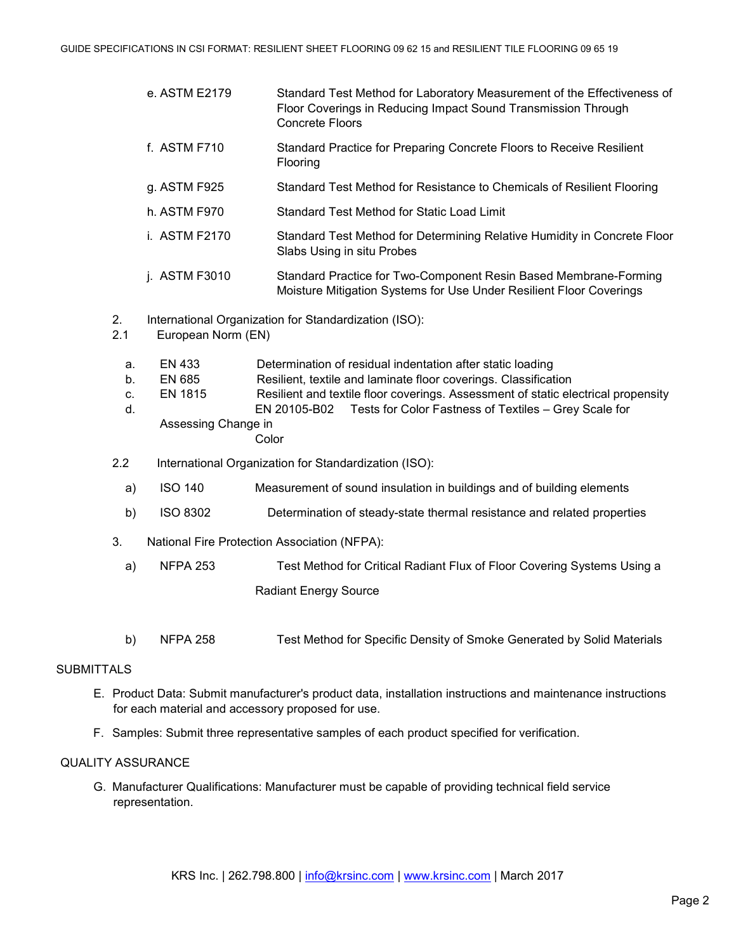|                      | e. ASTM E2179                                                               | Standard Test Method for Laboratory Measurement of the Effectiveness of<br>Floor Coverings in Reducing Impact Sound Transmission Through<br><b>Concrete Floors</b>                                                                                                                                   |  |  |
|----------------------|-----------------------------------------------------------------------------|------------------------------------------------------------------------------------------------------------------------------------------------------------------------------------------------------------------------------------------------------------------------------------------------------|--|--|
|                      | f. ASTM F710                                                                | Standard Practice for Preparing Concrete Floors to Receive Resilient<br>Flooring                                                                                                                                                                                                                     |  |  |
|                      | g. ASTM F925                                                                | Standard Test Method for Resistance to Chemicals of Resilient Flooring                                                                                                                                                                                                                               |  |  |
|                      | h. ASTM F970                                                                | <b>Standard Test Method for Static Load Limit</b>                                                                                                                                                                                                                                                    |  |  |
|                      | i. ASTM F2170                                                               | Standard Test Method for Determining Relative Humidity in Concrete Floor<br>Slabs Using in situ Probes                                                                                                                                                                                               |  |  |
|                      | j. ASTM F3010                                                               | Standard Practice for Two-Component Resin Based Membrane-Forming<br>Moisture Mitigation Systems for Use Under Resilient Floor Coverings                                                                                                                                                              |  |  |
| 2.<br>2.1            | International Organization for Standardization (ISO):<br>European Norm (EN) |                                                                                                                                                                                                                                                                                                      |  |  |
| a.<br>b.<br>c.<br>d. | EN 433<br><b>EN 685</b><br><b>EN 1815</b><br>Assessing Change in            | Determination of residual indentation after static loading<br>Resilient, textile and laminate floor coverings. Classification<br>Resilient and textile floor coverings. Assessment of static electrical propensity<br>Tests for Color Fastness of Textiles - Grey Scale for<br>EN 20105-B02<br>Color |  |  |
| 2.2                  |                                                                             | International Organization for Standardization (ISO):                                                                                                                                                                                                                                                |  |  |
| a)                   | <b>ISO 140</b>                                                              | Measurement of sound insulation in buildings and of building elements                                                                                                                                                                                                                                |  |  |
| b)                   | <b>ISO 8302</b>                                                             | Determination of steady-state thermal resistance and related properties                                                                                                                                                                                                                              |  |  |
| 3.                   |                                                                             | National Fire Protection Association (NFPA):                                                                                                                                                                                                                                                         |  |  |
| a)                   | <b>NFPA 253</b>                                                             | Test Method for Critical Radiant Flux of Floor Covering Systems Using a                                                                                                                                                                                                                              |  |  |
|                      |                                                                             | <b>Radiant Energy Source</b>                                                                                                                                                                                                                                                                         |  |  |
|                      |                                                                             |                                                                                                                                                                                                                                                                                                      |  |  |
|                      |                                                                             |                                                                                                                                                                                                                                                                                                      |  |  |

b) NFPA 258 Test Method for Specific Density of Smoke Generated by Solid Materials

# **SUBMITTALS**

- E. Product Data: Submit manufacturer's product data, installation instructions and maintenance instructions for each material and accessory proposed for use.
- F. Samples: Submit three representative samples of each product specified for verification.

# QUALITY ASSURANCE

G. Manufacturer Qualifications: Manufacturer must be capable of providing technical field service representation.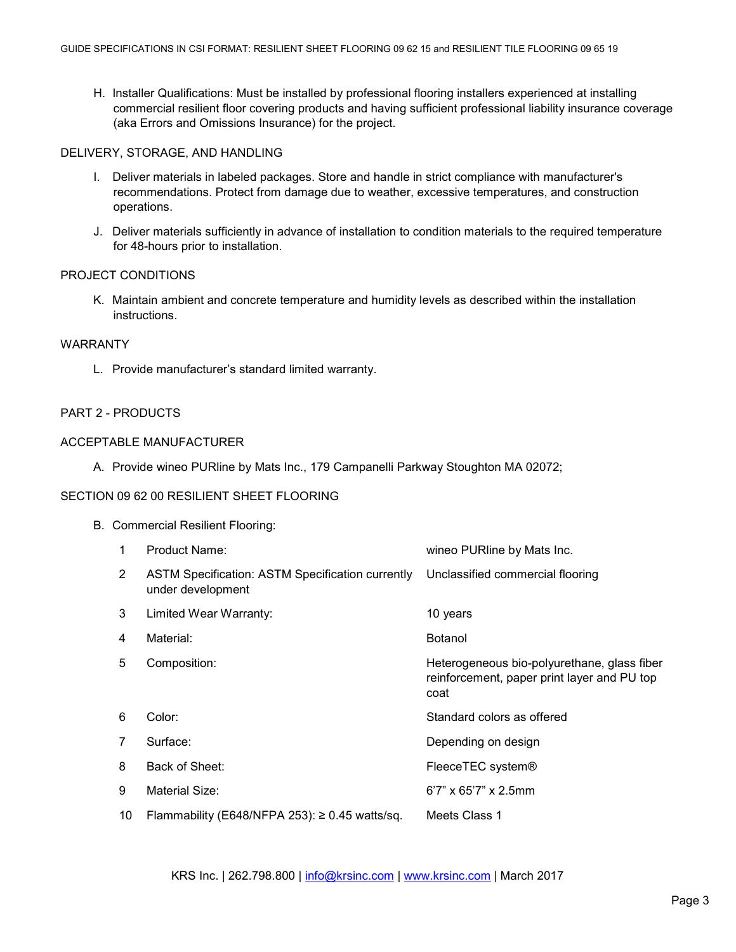H. Installer Qualifications: Must be installed by professional flooring installers experienced at installing commercial resilient floor covering products and having sufficient professional liability insurance coverage (aka Errors and Omissions Insurance) for the project.

## DELIVERY, STORAGE, AND HANDLING

- I. Deliver materials in labeled packages. Store and handle in strict compliance with manufacturer's recommendations. Protect from damage due to weather, excessive temperatures, and construction operations.
- J. Deliver materials sufficiently in advance of installation to condition materials to the required temperature for 48-hours prior to installation.

## PROJECT CONDITIONS

K. Maintain ambient and concrete temperature and humidity levels as described within the installation instructions.

#### WARRANTY

L. Provide manufacturer's standard limited warranty.

## PART 2 - PRODUCTS

### ACCEPTABLE MANUFACTURER

A. Provide wineo PURline by Mats Inc., 179 Campanelli Parkway Stoughton MA 02072;

# SECTION 09 62 00 RESILIENT SHEET ELOOPING

| ION 09 62 00 RESILIENT SHEET FLOORING |                                   |                                                                              |                                                                                                    |  |  |  |
|---------------------------------------|-----------------------------------|------------------------------------------------------------------------------|----------------------------------------------------------------------------------------------------|--|--|--|
|                                       | B. Commercial Resilient Flooring: |                                                                              |                                                                                                    |  |  |  |
|                                       | 1                                 | <b>Product Name:</b>                                                         | wineo PURline by Mats Inc.                                                                         |  |  |  |
|                                       | $\overline{2}$                    | <b>ASTM Specification: ASTM Specification currently</b><br>under development | Unclassified commercial flooring                                                                   |  |  |  |
|                                       | 3                                 | Limited Wear Warranty:                                                       | 10 years                                                                                           |  |  |  |
|                                       | 4                                 | Material:                                                                    | <b>Botanol</b>                                                                                     |  |  |  |
|                                       | 5                                 | Composition:                                                                 | Heterogeneous bio-polyurethane, glass fiber<br>reinforcement, paper print layer and PU top<br>coat |  |  |  |
|                                       | 6                                 | Color:                                                                       | Standard colors as offered                                                                         |  |  |  |
|                                       | 7                                 | Surface:                                                                     | Depending on design                                                                                |  |  |  |
|                                       | 8                                 | Back of Sheet:                                                               | FleeceTEC system®                                                                                  |  |  |  |
|                                       | 9                                 | <b>Material Size:</b>                                                        | $6'7''$ x $65'7''$ x 2.5mm                                                                         |  |  |  |
|                                       | 10                                | Flammability (E648/NFPA 253): $\geq$ 0.45 watts/sq.                          | Meets Class 1                                                                                      |  |  |  |
|                                       |                                   |                                                                              |                                                                                                    |  |  |  |

KRS Inc. | 262.798.800 | [info@krsinc.com](mailto:info@krsinc.com) | [www.krsinc.com](http://www.krsinc.com/) | March 2017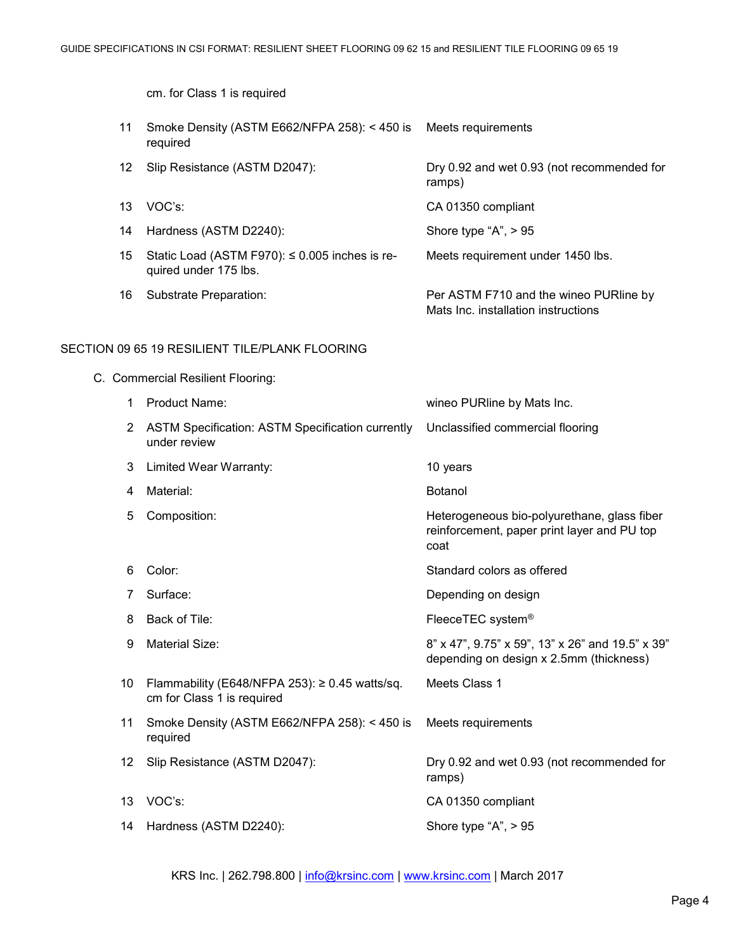cm. for Class 1 is required

11 Smoke Density (ASTM E662/NFPA 258): < 450 is Meets requirements required 12 Slip Resistance (ASTM D2047): Dry 0.92 and wet 0.93 (not recommended for ramps) 13 VOC's: CA 01350 compliant 14 Hardness (ASTM D2240): Shore type "A", > 95 15 Static Load (ASTM F970): ≤ 0.005 inches is required under 175 lbs. Meets requirement under 1450 lbs. 16 Substrate Preparation: Per ASTM F710 and the wineo PURline by Mats Inc. installation instructions

#### SECTION 09 65 19 RESILIENT TILE/PLANK FLOORING

C. Commercial Resilient Flooring:

| 1   | <b>Product Name:</b>                                                              | wineo PURline by Mats Inc.                                                                         |
|-----|-----------------------------------------------------------------------------------|----------------------------------------------------------------------------------------------------|
| 2   | <b>ASTM Specification: ASTM Specification currently</b><br>under review           | Unclassified commercial flooring                                                                   |
| 3   | Limited Wear Warranty:                                                            | 10 years                                                                                           |
| 4   | Material:                                                                         | <b>Botanol</b>                                                                                     |
| 5   | Composition:                                                                      | Heterogeneous bio-polyurethane, glass fiber<br>reinforcement, paper print layer and PU top<br>coat |
| 6   | Color:                                                                            | Standard colors as offered                                                                         |
| 7   | Surface:                                                                          | Depending on design                                                                                |
| 8   | Back of Tile:                                                                     | FleeceTEC system <sup>®</sup>                                                                      |
| 9   | Material Size:                                                                    | 8" x 47", 9.75" x 59", 13" x 26" and 19.5" x 39"<br>depending on design x 2.5mm (thickness)        |
| 10  | Flammability (E648/NFPA 253): $\geq$ 0.45 watts/sq.<br>cm for Class 1 is required | Meets Class 1                                                                                      |
| 11  | Smoke Density (ASTM E662/NFPA 258): < 450 is<br>required                          | Meets requirements                                                                                 |
| 12. | Slip Resistance (ASTM D2047):                                                     | Dry 0.92 and wet 0.93 (not recommended for<br>ramps)                                               |
| 13  | VOC's:                                                                            | CA 01350 compliant                                                                                 |
| 14  | Hardness (ASTM D2240):                                                            | Shore type "A", $> 95$                                                                             |

KRS Inc. | 262.798.800 | [info@krsinc.com](mailto:info@krsinc.com) | [www.krsinc.com](http://www.krsinc.com/) | March 2017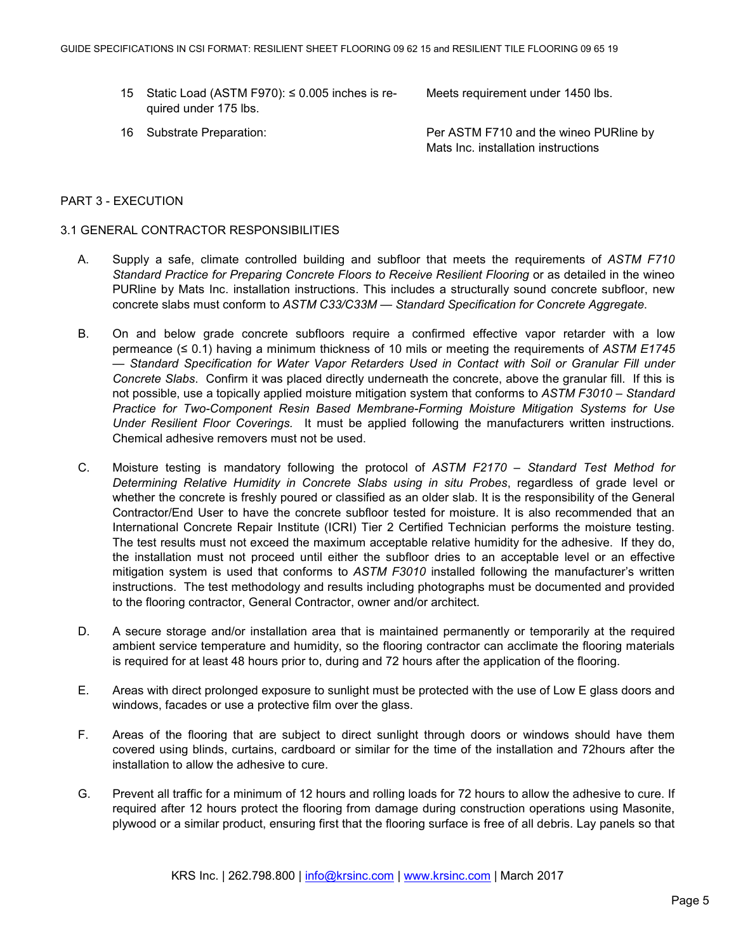15 Static Load (ASTM F970): ≤ 0.005 inches is required under 175 lbs.

Meets requirement under 1450 lbs.

16 Substrate Preparation: Per ASTM F710 and the wineo PURline by Mats Inc. installation instructions

### PART 3 - EXECUTION

#### 3.1 GENERAL CONTRACTOR RESPONSIBILITIES

- A. Supply a safe, climate controlled building and subfloor that meets the requirements of *ASTM F710 Standard Practice for Preparing Concrete Floors to Receive Resilient Flooring* or as detailed in the wineo PURline by Mats Inc. installation instructions. This includes a structurally sound concrete subfloor, new concrete slabs must conform to *ASTM C33/C33M — Standard Specification for Concrete Aggregate*.
- B. On and below grade concrete subfloors require a confirmed effective vapor retarder with a low permeance (≤ 0.1) having a minimum thickness of 10 mils or meeting the requirements of *ASTM E1745 — Standard Specification for Water Vapor Retarders Used in Contact with Soil or Granular Fill under Concrete Slabs*. Confirm it was placed directly underneath the concrete, above the granular fill. If this is not possible, use a topically applied moisture mitigation system that conforms to *ASTM F3010 – Standard Practice for Two-Component Resin Based Membrane-Forming Moisture Mitigation Systems for Use Under Resilient Floor Coverings.* It must be applied following the manufacturers written instructions*.*  Chemical adhesive removers must not be used.
- C. Moisture testing is mandatory following the protocol of *ASTM F2170 – Standard Test Method for Determining Relative Humidity in Concrete Slabs using in situ Probes*, regardless of grade level or whether the concrete is freshly poured or classified as an older slab. It is the responsibility of the General Contractor/End User to have the concrete subfloor tested for moisture. It is also recommended that an International Concrete Repair Institute (ICRI) Tier 2 Certified Technician performs the moisture testing. The test results must not exceed the maximum acceptable relative humidity for the adhesive. If they do, the installation must not proceed until either the subfloor dries to an acceptable level or an effective mitigation system is used that conforms to *ASTM F3010* installed following the manufacturer's written instructions. The test methodology and results including photographs must be documented and provided to the flooring contractor, General Contractor, owner and/or architect.
- D. A secure storage and/or installation area that is maintained permanently or temporarily at the required ambient service temperature and humidity, so the flooring contractor can acclimate the flooring materials is required for at least 48 hours prior to, during and 72 hours after the application of the flooring.
- E. Areas with direct prolonged exposure to sunlight must be protected with the use of Low E glass doors and windows, facades or use a protective film over the glass.
- F. Areas of the flooring that are subject to direct sunlight through doors or windows should have them covered using blinds, curtains, cardboard or similar for the time of the installation and 72hours after the installation to allow the adhesive to cure.
- G. Prevent all traffic for a minimum of 12 hours and rolling loads for 72 hours to allow the adhesive to cure. If required after 12 hours protect the flooring from damage during construction operations using Masonite, plywood or a similar product, ensuring first that the flooring surface is free of all debris. Lay panels so that